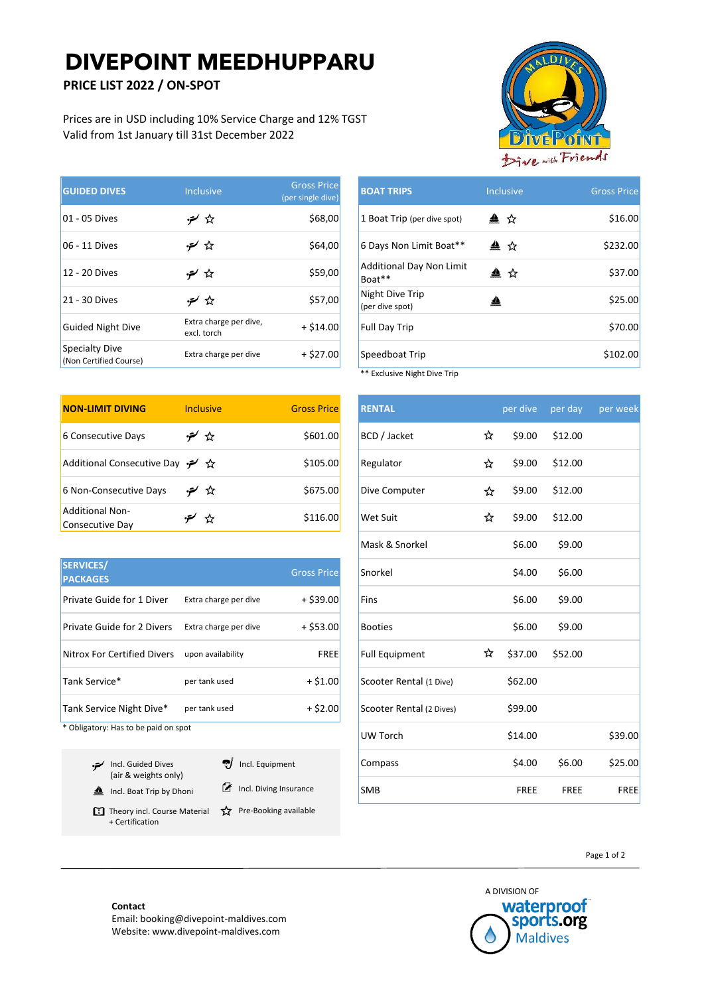# **DIVEPOINT MEEDHUPPARU**

### **PRICE LIST 2022 / ON-SPOT**

Prices are in USD including 10% Service Charge and 12% TGST Valid from 1st January till 31st December 2022

| <b>GUIDED DIVES</b>                      | <b>Inclusive</b>                      | <b>Gross Price</b><br>(per single dive) | <b>BOAT TRIPS</b>                  | <b>Inclusive</b> | <b>Gross Price</b> |
|------------------------------------------|---------------------------------------|-----------------------------------------|------------------------------------|------------------|--------------------|
| 01 - 05 Dives                            | デ☆                                    | \$68,00                                 | 1 Boat Trip (per dive spot)        | ▲ ☆              | \$16.00            |
| 06 - 11 Dives                            | خلا ⁄ <del>م</del> ر                  | \$64,00                                 | 6 Days Non Limit Boat**            | ▲ ☆              | \$232.00           |
| 12 - 20 Dives                            | کٹا ⁄ہن                               | \$59,00                                 | Additional Day Non Limit<br>Boat** | ≜<br>☆           | \$37.00            |
| 21 - 30 Dives                            | チ☆                                    | \$57,00                                 | Night Dive Trip<br>(per dive spot) | ≜                | \$25.00            |
| Guided Night Dive                        | Extra charge per dive,<br>excl. torch | $+ $14.00$                              | <b>Full Day Trip</b>               |                  | \$70.00            |
| Specialty Dive<br>(Non Certified Course) | Extra charge per dive                 | $+ $27.00$                              | Speedboat Trip                     |                  | \$102.00           |

| <b>NON-LIMIT DIVING</b>            | <b>Inclusive</b> | <b>Gross Price</b> | <b>RENTAL</b>   |   | per dive | per day |
|------------------------------------|------------------|--------------------|-----------------|---|----------|---------|
| 6 Consecutive Days                 | ن ∕م             | \$601.00           | BCD / Jacket    | ☆ | \$9.00   | \$12.00 |
| Additional Consecutive Day → ☆     |                  | \$105.00           | Regulator       | ☆ | \$9.00   | \$12.00 |
| 6 Non-Consecutive Days             | ت≿ ∕م∹           | \$675.00           | Dive Computer   | ☆ | \$9.00   | \$12.00 |
| Additional Non-<br>Consecutive Day | ਮੈਂ              | \$116.00           | <b>Wet Suit</b> | ☆ | \$9.00   | \$12.00 |

| <b>SERVICES/</b><br><b>PACKAGES</b> |                       | <b>Gross Price</b> | Snorkel                  |   | \$4.00  | \$6.00  |
|-------------------------------------|-----------------------|--------------------|--------------------------|---|---------|---------|
| <b>Private Guide for 1 Diver</b>    | Extra charge per dive | $+$ \$39.00        | Fins                     |   | \$6.00  | \$9.00  |
| <b>Private Guide for 2 Divers</b>   | Extra charge per dive | $+$ \$53.00        | <b>Booties</b>           |   | \$6.00  | \$9.00  |
| Nitrox For Certified Divers         | upon availability     | <b>FREE</b>        | <b>Full Equipment</b>    | ☆ | \$37.00 | \$52.00 |
| Tank Service*                       | per tank used         | $+ $1.00$          | Scooter Rental (1 Dive)  |   | \$62.00 |         |
| Tank Service Night Dive*            | per tank used         | $+ $2.00$          | Scooter Rental (2 Dives) |   | \$99.00 |         |

\* Obligatory: Has to be paid on spot

| Incl. Guided Dives<br>(air & weights only)                                      | vich. Equipment        |
|---------------------------------------------------------------------------------|------------------------|
| Incl. Boat Trip by Dhoni                                                        | Incl. Diving Insurance |
| Theory incl. Course Material $\hat{X}$ Pre-Booking available<br>+ Certification |                        |



| <b>Inclusive</b>                      | <b>Gross Price</b><br>(per single dive) | <b>BOAT TRIPS</b>                         | <b>Inclusive</b> | <b>Gross Price</b> |
|---------------------------------------|-----------------------------------------|-------------------------------------------|------------------|--------------------|
| ** ستر•                               | \$68,00                                 | 1 Boat Trip (per dive spot)               | ▲ ☆              | \$16.00            |
| ت‡ ⁄تر                                | \$64,00                                 | 6 Days Non Limit Boat**                   | ▲ ☆              | \$232.00           |
| کٹہ ⁄متز∙                             | \$59,00                                 | <b>Additional Day Non Limit</b><br>Boat** | ▲ ☆              | \$37.00            |
| ** ∕حق                                | \$57,00                                 | Night Dive Trip<br>(per dive spot)        | ╩                | \$25.00            |
| Extra charge per dive,<br>excl. torch | $+ $14.00$                              | Full Day Trip                             |                  | \$70.00            |
| Extra charge per dive                 | $+ $27.00$                              | Speedboat Trip                            |                  | \$102.00           |
|                                       |                                         | $**$ Evaluciva Night Dive Trin            |                  |                    |

**Exclusive Night Dive Trip NON-LIMIT DIVING** Inclusive Gross Price **RENTAL** per dive per day per week Dive Computer  $\overrightarrow{27}$  \$9.00 \$12.00  $\forall x$  \$9.00 \$12.00  $M$ ask & Snorkel  $\overline{\phantom{0}}$  \$6.00 \$9.00 Snorkel \$4.00 \$6.00 Full Equipment  $\overleftrightarrow{x}$  \$37.00 \$52.00  $S$ cooter Rental (1 Dive)  $$62.00$ Scooter Rental (2 Dives) \$99.00 UW Torch \$14.00 \$39.00 Compass \$4.00 \$6.00 \$25.00 SMB FREE FREE FREE FREE

Page 1 of 2



#### **Contact**

Email: booking@divepoint-maldives.com Website: www.divepoint-maldives.com